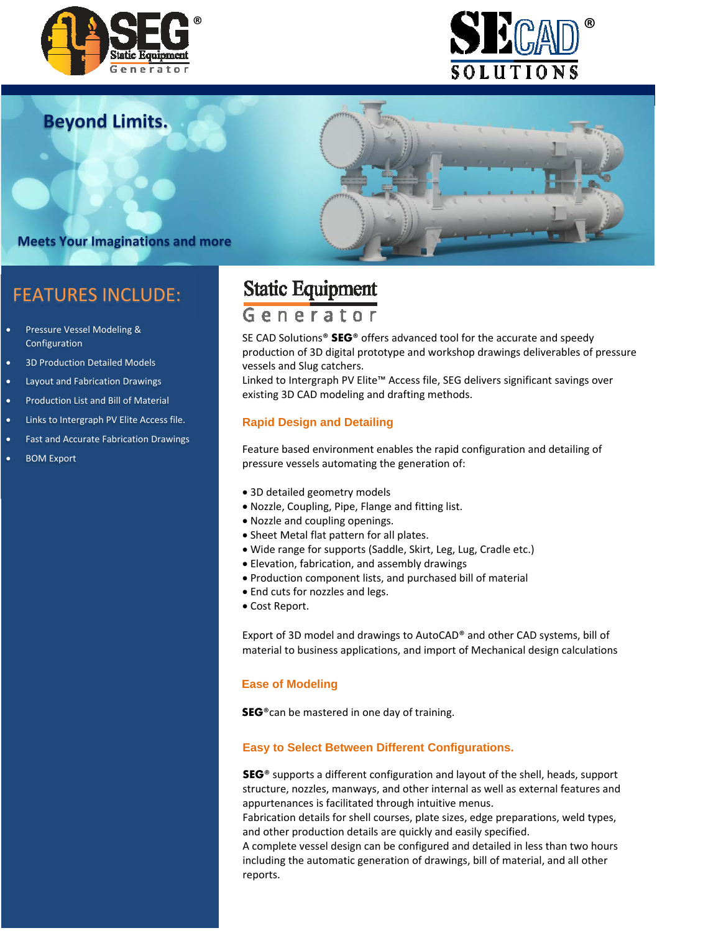



**Beyond Limits.**

# **Meets Your Imaginations and more**

## FEATURES INCLUDE:

- **•** Pressure Vessel Modeling & Configuration
- 3D Production Detailed Models
- Layout and Fabrication Drawings
- **•** Production List and Bill of Material
- Links to Intergraph PV Elite Access file.
- Fast and Accurate Fabrication Drawings
- BOM Export

# **Static Equipment**

## Generator

SE CAD Solutions® **SEG**® offers advanced tool for the accurate and speedy production of 3D digital prototype and workshop drawings deliverables of pressure vessels and Slug catchers.

Linked to Intergraph PV Elite™ Access file, SEG delivers significant savings over existing 3D CAD modeling and drafting methods.

### **Rapid Design and Detailing**

Feature based environment enables the rapid configuration and detailing of pressure vessels automating the generation of:

- 3D detailed geometry models
- Nozzle, Coupling, Pipe, Flange and fitting list.
- Nozzle and coupling openings.
- Sheet Metal flat pattern for all plates.
- Wide range for supports (Saddle, Skirt, Leg, Lug, Cradle etc.)
- Elevation, fabrication, and assembly drawings
- Production component lists, and purchased bill of material
- End cuts for nozzles and legs.
- Cost Report.

Export of 3D model and drawings to AutoCAD® and other CAD systems, bill of material to business applications, and import of Mechanical design calculations

#### **Ease of Modeling**

**SEG**®can be mastered in one day of training.

#### **Easy to Select Between Different Configurations.**

**SEG**® supports a different configuration and layout of the shell, heads, support structure, nozzles, manways, and other internal as well as external features and appurtenances is facilitated through intuitive menus.

Fabrication details for shell courses, plate sizes, edge preparations, weld types, and other production details are quickly and easily specified.

A complete vessel design can be configured and detailed in less than two hours including the automatic generation of drawings, bill of material, and all other reports.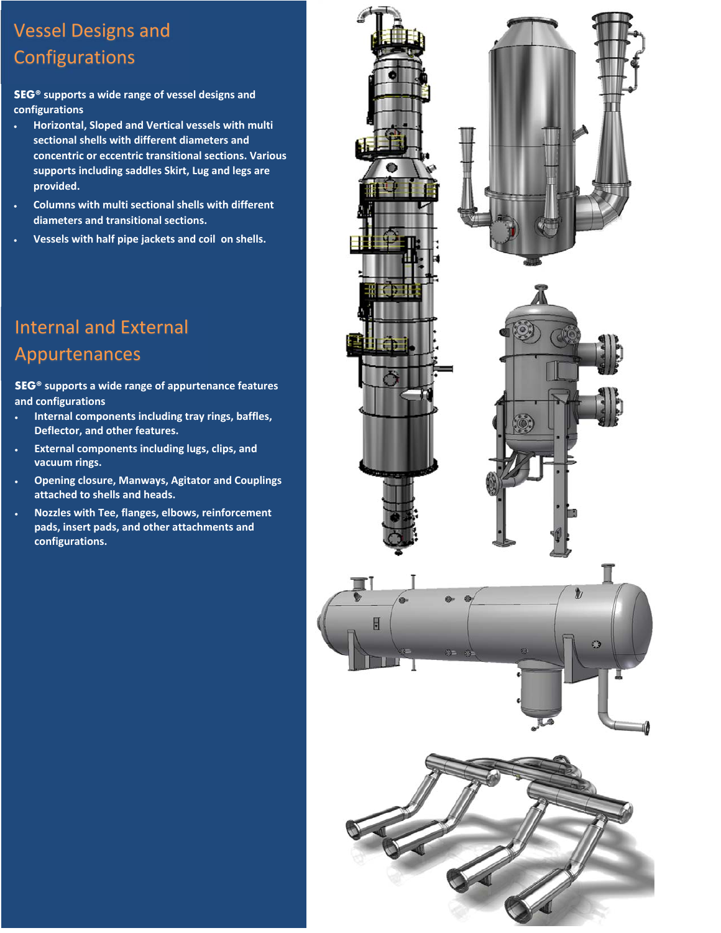# Vessel Designs and Configurations

**SEG® supports a wide range of vessel designs and configurations**

- **Horizontal, Sloped and Vertical vessels with multi sectional shells with different diameters and concentric or eccentric transitional sections. Various supports including saddles Skirt, Lug and legs are provided.**
- **Columns with multi sectional shells with different diameters and transitional sections.**
- **Vessels with half pipe jackets and coil on shells.**

# Internal and External Appurtenances

**SEG® supports a wide range of appurtenance features and configurations**

- **Internal components including tray rings, baffles, Deflector, and other features.**
- **External components including lugs, clips, and vacuum rings.**
- **Opening closure, Manways, Agitator and Couplings attached to shells and heads.**
- **Nozzles with Tee, flanges, elbows, reinforcement pads, insert pads, and other attachments and configurations.**

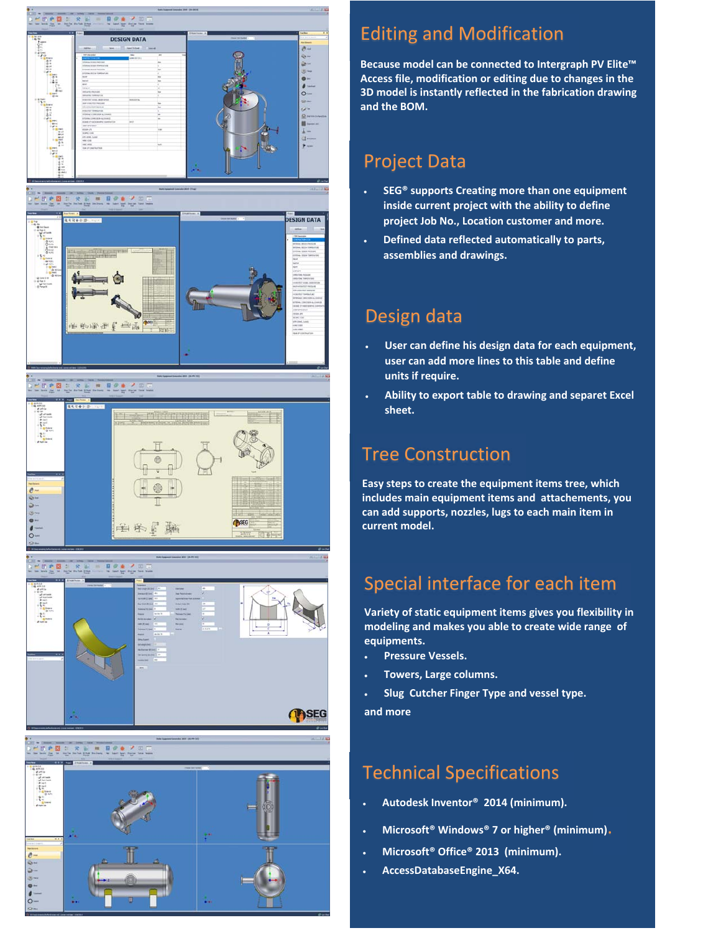



#### $-80.8$ E = FOA 2







# Editing and Modification

**Because model can be connected to Intergraph PV Elite™ Access file, modification or editing due to changes in the 3D model is instantly reflected in the fabrication drawing and the BOM.**

## Project Data

- **SEG® supports Creating more than one equipment inside current project with the ability to define project Job No., Location customer and more.**
- **Defined data reflected automatically to parts, assemblies and drawings.**

## Design data

- **User can define his design data for each equipment, user can add more lines to this table and define units if require.**
- **Ability to export table to drawing and separet Excel sheet.**

## Tree Construction

**Easy steps to create the equipment items tree, which includes main equipment items and attachements, you can add supports, nozzles, lugs to each main item in current model.**

# Special interface for each item

**Variety of static equipment items gives you flexibility in modeling and makes you able to create wide range of equipments.**

- **Pressure Vessels.**
- **Towers, Large columns.**

 **Slug Cutcher Finger Type and vessel type. and more**

## Technical Specifications

- **Autodesk Inventor® 2014 (minimum).**
- **Microsoft® Windows® <sup>7</sup> or higher® (minimum)**.
- **Microsoft® Office® 2013 (minimum).**
- **AccessDatabaseEngine\_X64.**